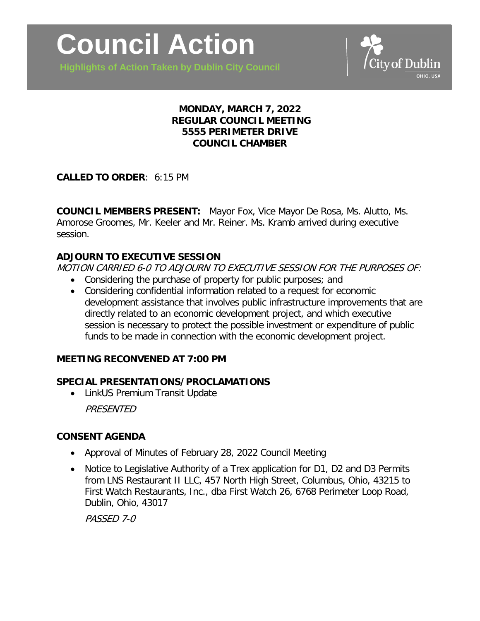**Highlights of Action Taken by Dublin City Council**



# **MONDAY, MARCH 7, 2022 REGULAR COUNCIL MEETING 5555 PERIMETER DRIVE COUNCIL CHAMBER**

# **CALLED TO ORDER**: 6:15 PM

**COUNCIL MEMBERS PRESENT:** Mayor Fox, Vice Mayor De Rosa, Ms. Alutto, Ms. Amorose Groomes, Mr. Keeler and Mr. Reiner. Ms. Kramb arrived during executive session.

# **ADJOURN TO EXECUTIVE SESSION**

MOTION CARRIED 6-0 TO ADJOURN TO EXECUTIVE SESSION FOR THE PURPOSES OF:

- Considering the purchase of property for public purposes; and
- Considering confidential information related to a request for economic development assistance that involves public infrastructure improvements that are directly related to an economic development project, and which executive session is necessary to protect the possible investment or expenditure of public funds to be made in connection with the economic development project.

# **MEETING RECONVENED AT 7:00 PM**

# **SPECIAL PRESENTATIONS/PROCLAMATIONS**

• LinkUS Premium Transit Update

PRESENTED

### **CONSENT AGENDA**

- Approval of Minutes of February 28, 2022 Council Meeting
- Notice to Legislative Authority of a Trex application for D1, D2 and D3 Permits from LNS Restaurant II LLC, 457 North High Street, Columbus, Ohio, 43215 to First Watch Restaurants, Inc., dba First Watch 26, 6768 Perimeter Loop Road, Dublin, Ohio, 43017

PASSED 7-0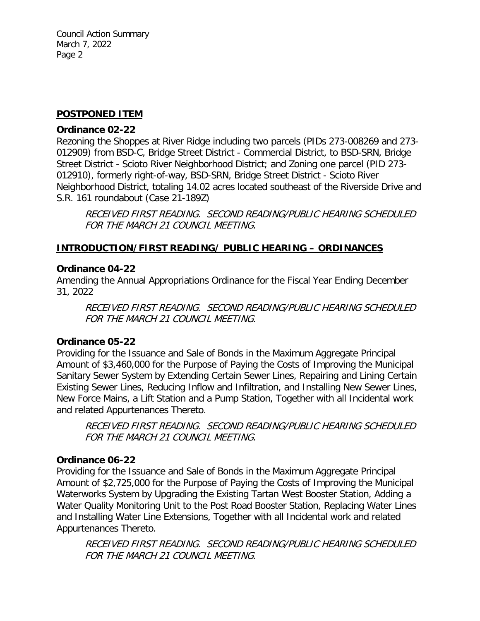Council Action Summary March 7, 2022 Page 2

#### **POSTPONED ITEM**

#### **Ordinance 02-22**

Rezoning the Shoppes at River Ridge including two parcels (PIDs 273-008269 and 273- 012909) from BSD-C, Bridge Street District - Commercial District, to BSD-SRN, Bridge Street District - Scioto River Neighborhood District; and Zoning one parcel (PID 273- 012910), formerly right-of-way, BSD-SRN, Bridge Street District - Scioto River Neighborhood District, totaling 14.02 acres located southeast of the Riverside Drive and S.R. 161 roundabout (Case 21-189Z)

RECEIVED FIRST READING. SECOND READING/PUBLIC HEARING SCHEDULED FOR THE MARCH 21 COUNCIL MEETING.

### **INTRODUCTION/FIRST READING/ PUBLIC HEARING – ORDINANCES**

#### **Ordinance 04-22**

Amending the Annual Appropriations Ordinance for the Fiscal Year Ending December 31, 2022

RECEIVED FIRST READING. SECOND READING/PUBLIC HEARING SCHEDULED FOR THE MARCH 21 COUNCIL MEETING.

### **Ordinance 05-22**

Providing for the Issuance and Sale of Bonds in the Maximum Aggregate Principal Amount of \$3,460,000 for the Purpose of Paying the Costs of Improving the Municipal Sanitary Sewer System by Extending Certain Sewer Lines, Repairing and Lining Certain Existing Sewer Lines, Reducing Inflow and Infiltration, and Installing New Sewer Lines, New Force Mains, a Lift Station and a Pump Station, Together with all Incidental work and related Appurtenances Thereto.

RECEIVED FIRST READING. SECOND READING/PUBLIC HEARING SCHEDULED FOR THE MARCH 21 COUNCIL MEETING.

### **Ordinance 06-22**

Providing for the Issuance and Sale of Bonds in the Maximum Aggregate Principal Amount of \$2,725,000 for the Purpose of Paying the Costs of Improving the Municipal Waterworks System by Upgrading the Existing Tartan West Booster Station, Adding a Water Quality Monitoring Unit to the Post Road Booster Station, Replacing Water Lines and Installing Water Line Extensions, Together with all Incidental work and related Appurtenances Thereto.

RECEIVED FIRST READING. SECOND READING/PUBLIC HEARING SCHEDULED FOR THE MARCH 21 COUNCIL MEETING.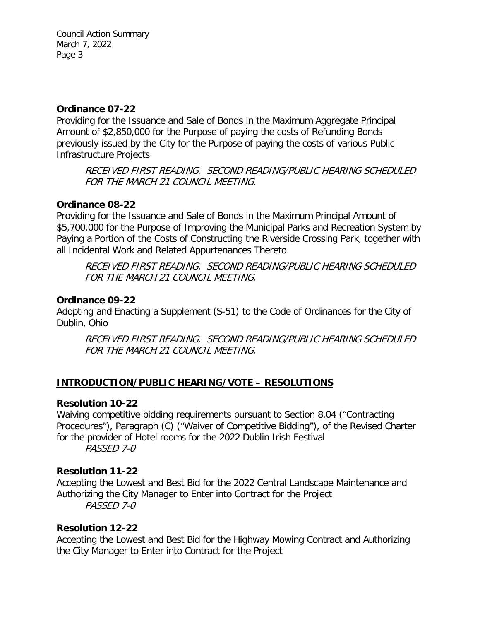Council Action Summary March 7, 2022 Page 3

### **Ordinance 07-22**

Providing for the Issuance and Sale of Bonds in the Maximum Aggregate Principal Amount of \$2,850,000 for the Purpose of paying the costs of Refunding Bonds previously issued by the City for the Purpose of paying the costs of various Public Infrastructure Projects

RECEIVED FIRST READING. SECOND READING/PUBLIC HEARING SCHEDULED FOR THE MARCH 21 COUNCIL MEETING.

# **Ordinance 08-22**

Providing for the Issuance and Sale of Bonds in the Maximum Principal Amount of \$5,700,000 for the Purpose of Improving the Municipal Parks and Recreation System by Paying a Portion of the Costs of Constructing the Riverside Crossing Park, together with all Incidental Work and Related Appurtenances Thereto

RECEIVED FIRST READING. SECOND READING/PUBLIC HEARING SCHEDULED FOR THE MARCH 21 COUNCIL MEETING.

# **Ordinance 09-22**

Adopting and Enacting a Supplement (S-51) to the Code of Ordinances for the City of Dublin, Ohio

RECEIVED FIRST READING. SECOND READING/PUBLIC HEARING SCHEDULED FOR THE MARCH 21 COUNCIL MEETING.

# **INTRODUCTION/PUBLIC HEARING/VOTE – RESOLUTIONS**

# **Resolution 10-22**

Waiving competitive bidding requirements pursuant to Section 8.04 ("Contracting Procedures"), Paragraph (C) ("Waiver of Competitive Bidding"), of the Revised Charter for the provider of Hotel rooms for the 2022 Dublin Irish Festival PASSED 7-0

**Resolution 11-22**

Accepting the Lowest and Best Bid for the 2022 Central Landscape Maintenance and Authorizing the City Manager to Enter into Contract for the Project PASSED 7-0

# **Resolution 12-22**

Accepting the Lowest and Best Bid for the Highway Mowing Contract and Authorizing the City Manager to Enter into Contract for the Project